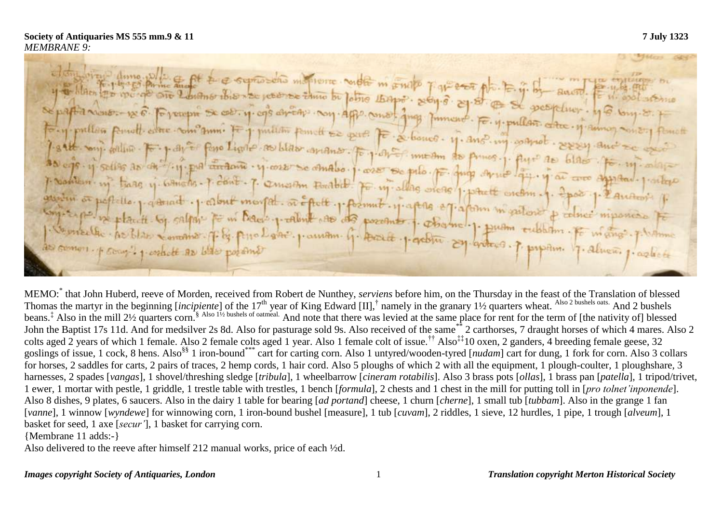et disposition dume with the off the expressions intervente control in some part exact pla."  $E.$  if  $B_+$  anone  $E$ de papier nous. p. 6. Forenon De col. y. cop errête noy. app. como. jug poment. F. y. pullen. color. y 6. Josephilles penult come come sum: It justitus penult se quel F. & bonco. M. ano. my comprete. Sessy and salt onj. willin por y ant fono limb as blas anano. To y ant mean as primos. As cis. y selles de la fig. più circante. y core se amabo. I core se pilo. F. que de mos. i flure de blas. Je mi cilere p Northern in trans in Girls and The P. Contents of the Analog . I was so pilo. For Jung Armo lay. if an are<br>I Northern in trans in Girls of Sont . T. Quietion Forthel. For in allag orege 1 potent ordern . 1. 2 pour problem in tiage y whichs - I dont . p. concertin touted. For misles orders potent order of the pool production en sugar pour recent parais procuram que possessions que establem en sobbien. Fe m'angi plusim Comp? 1 entsett as blac poseme

MEMO:\* that John Huberd, reeve of Morden, received from Robert de Nunthey, *serviens* before him, on the Thursday in the feast of the Translation of blessed Thomas the martyr in the beginning [*incipiente*] of the 17<sup>th</sup> year of King Edward [II],<sup>†</sup> namely in the granary 1½ quarters wheat. <sup>Also 2 bushels oats.</sup> And 2 bushels beans.<sup>‡</sup> Also in the mill 2½ quarters corn.<sup>§ Also 1½ bushels of oatmeal.</sup> And note that there was levied at the same place for rent for the term of [the nativity of] blessed John the Baptist 17s 11d. And for medsilver 2s 8d. Also for pasturage sold 9s. Also received of the same\*\* 2 carthorses, 7 draught horses of which 4 mares. Also 2 colts aged 2 years of which 1 female. Also 2 female colts aged 1 year. Also 1 female colt of issue.<sup>††</sup> Also<sup>‡‡</sup>10 oxen, 2 ganders, 4 breeding female geese, 32 goslings of issue, 1 cock, 8 hens. Also<sup>§§</sup> 1 iron-bound<sup>\*\*\*</sup> cart for carting corn. Also 1 untyred/wooden-tyred [*nudam*] cart for dung, 1 fork for corn. Also 3 collars for horses, 2 saddles for carts, 2 pairs of traces, 2 hemp cords, 1 hair cord. Also 5 ploughs of which 2 with all the equipment, 1 plough-coulter, 1 ploughshare, 3 harnesses, 2 spades [*vangas*], 1 shovel/threshing sledge [*tribula*], 1 wheelbarrow [*cineram rotabilis*]. Also 3 brass pots [*ollas*], 1 brass pan [*patella*], 1 tripod/trivet, 1 ewer, 1 mortar with pestle, 1 griddle, 1 trestle table with trestles, 1 bench [*formula*], 2 chests and 1 chest in the mill for putting toll in [*pro tolnet'inponende*]. Also 8 dishes, 9 plates, 6 saucers. Also in the dairy 1 table for bearing [*ad portand*] cheese, 1 churn [*cherne*], 1 small tub [*tubbam*]. Also in the grange 1 fan [*vanne*], 1 winnow [*wyndewe*] for winnowing corn, 1 iron-bound bushel [measure], 1 tub [*cuvam*], 2 riddles, 1 sieve, 12 hurdles, 1 pipe, 1 trough [*alveum*], 1 basket for seed, 1 axe [*secur'*], 1 basket for carrying corn.

{Membrane 11 adds:-}

Also delivered to the reeve after himself 212 manual works, price of each ½d.